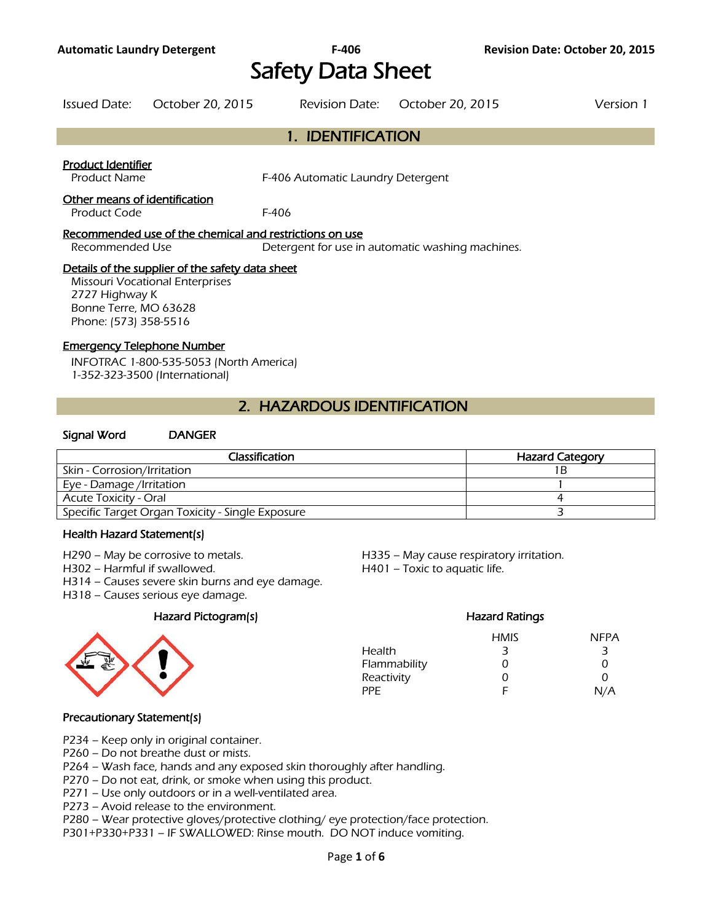# Safety Data Sheet

| Issued Date: | October 20, 2015 | Revision Date: October 20, 2015 | Version 1 |
|--------------|------------------|---------------------------------|-----------|
|              |                  |                                 |           |

# 1. IDENTIFICATION

#### Product Identifier

Product Name F-406 Automatic Laundry Detergent

#### Other means of identification

Product Code F-406

#### Recommended use of the chemical and restrictions on use

Recommended Use Detergent for use in automatic washing machines.

#### Details of the supplier of the safety data sheet

Missouri Vocational Enterprises 2727 Highway K Bonne Terre, MO 63628 Phone: (573) 358-5516

#### Emergency Telephone Number

INFOTRAC 1-800-535-5053 (North America) 1-352-323-3500 (International)

# 2. HAZARDOUS IDENTIFICATION

#### Signal Word DANGER

| Classification                                   | <b>Hazard Category</b> |
|--------------------------------------------------|------------------------|
| Skin - Corrosion/Irritation                      | 1 B                    |
| Eye - Damage /Irritation                         |                        |
| <b>Acute Toxicity - Oral</b>                     |                        |
| Specific Target Organ Toxicity - Single Exposure |                        |
|                                                  |                        |

#### Health Hazard Statement(s)

- 
- H302 Harmful if swallowed. H401 Toxic to aquatic life.
- H314 Causes severe skin burns and eye damage.
- H318 Causes serious eye damage.

#### Hazard Pictogram(s)



H290 – May be corrosive to metals. H335 – May cause respiratory irritation.

|              | <b>Hazard Ratings</b> |             |
|--------------|-----------------------|-------------|
|              | <b>HMIS</b>           | <b>NFPA</b> |
| Health       | 3                     | З           |
| Flammability | O                     | 0           |
| Reactivity   | O                     | 0           |
| PPF.         | F                     | N/A         |

#### Precautionary Statement(s)

P234 – Keep only in original container.

P260 – Do not breathe dust or mists.

P264 – Wash face, hands and any exposed skin thoroughly after handling.

P270 – Do not eat, drink, or smoke when using this product.

P271 – Use only outdoors or in a well-ventilated area.

P273 – Avoid release to the environment.

P280 – Wear protective gloves/protective clothing/ eye protection/face protection.

P301+P330+P331 – IF SWALLOWED: Rinse mouth. DO NOT induce vomiting.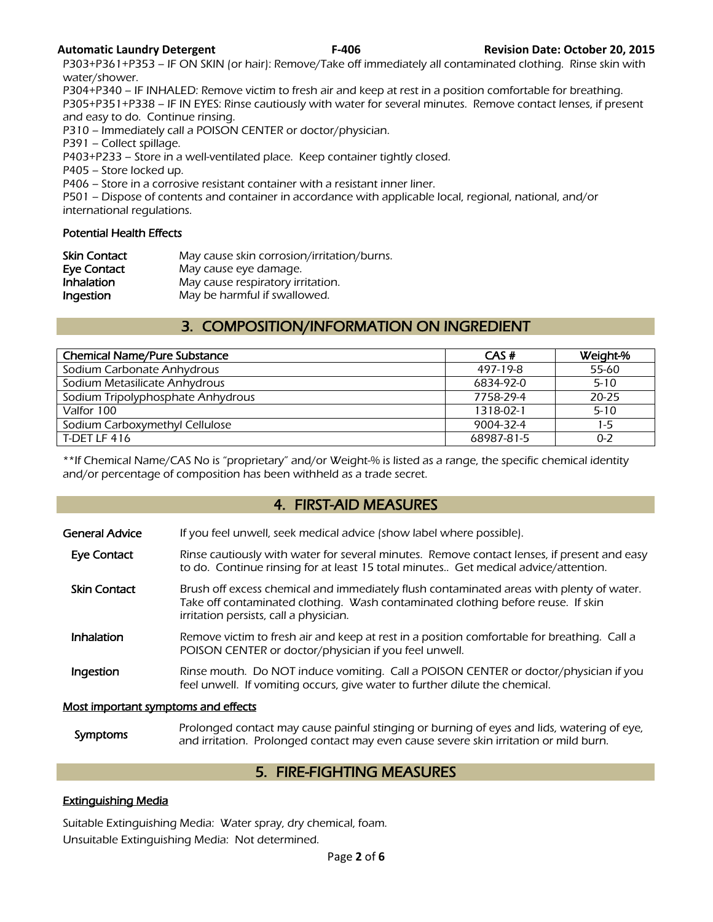P303+P361+P353 – IF ON SKIN (or hair): Remove/Take off immediately all contaminated clothing. Rinse skin with water/shower.

P304+P340 – IF INHALED: Remove victim to fresh air and keep at rest in a position comfortable for breathing. P305+P351+P338 – IF IN EYES: Rinse cautiously with water for several minutes. Remove contact lenses, if present and easy to do. Continue rinsing.

P310 – Immediately call a POISON CENTER or doctor/physician.

P391 – Collect spillage.

P403+P233 – Store in a well-ventilated place. Keep container tightly closed.

P405 – Store locked up.

P406 – Store in a corrosive resistant container with a resistant inner liner.

P501 – Dispose of contents and container in accordance with applicable local, regional, national, and/or international regulations.

#### Potential Health Effects

| <b>Skin Contact</b> | May cause skin corrosion/irritation/burns. |
|---------------------|--------------------------------------------|
| Eye Contact         | May cause eye damage.                      |
| Inhalation          | May cause respiratory irritation.          |
| Ingestion           | May be harmful if swallowed.               |

# 3. COMPOSITION/INFORMATION ON INGREDIENT

| <b>Chemical Name/Pure Substance</b> | CAS#            | Weight-%  |
|-------------------------------------|-----------------|-----------|
| Sodium Carbonate Anhydrous          | 497-19-8        | 55-60     |
| Sodium Metasilicate Anhydrous       | 6834-92-0       | $5 - 10$  |
| Sodium Tripolyphosphate Anhydrous   | 7758-29-4       | $20 - 25$ |
| Valfor 100                          | 1318-02-1       | $5 - 10$  |
| Sodium Carboxymethyl Cellulose      | $9004 - 32 - 4$ | $1-5$     |
| T-DET LF 416                        | 68987-81-5      | $0 - 2$   |
|                                     |                 |           |

\*\*If Chemical Name/CAS No is "proprietary" and/or Weight-% is listed as a range, the specific chemical identity and/or percentage of composition has been withheld as a trade secret.

## 4. FIRST-AID MEASURES

- Eye Contact Rinse cautiously with water for several minutes. Remove contact lenses, if present and easy to do. Continue rinsing for at least 15 total minutes.. Get medical advice/attention.
- Skin Contact Brush off excess chemical and immediately flush contaminated areas with plenty of water. Take off contaminated clothing. Wash contaminated clothing before reuse. If skin irritation persists, call a physician.
- **Inhalation** Remove victim to fresh air and keep at rest in a position comfortable for breathing. Call a POISON CENTER or doctor/physician if you feel unwell.
- Ingestion Rinse mouth. Do NOT induce vomiting. Call a POISON CENTER or doctor/physician if you feel unwell. If vomiting occurs, give water to further dilute the chemical.

#### Most important symptoms and effects

Symptoms Prolonged contact may cause painful stinging or burning of eyes and lids, watering of eye,<br>Symptoms and irritation. Prolonged contact may over saves severe skip irritation or mild burn and irritation. Prolonged contact may even cause severe skin irritation or mild burn.

# 5. FIRE-FIGHTING MEASURES

## Extinguishing Media

Suitable Extinguishing Media: Water spray, dry chemical, foam. Unsuitable Extinguishing Media: Not determined.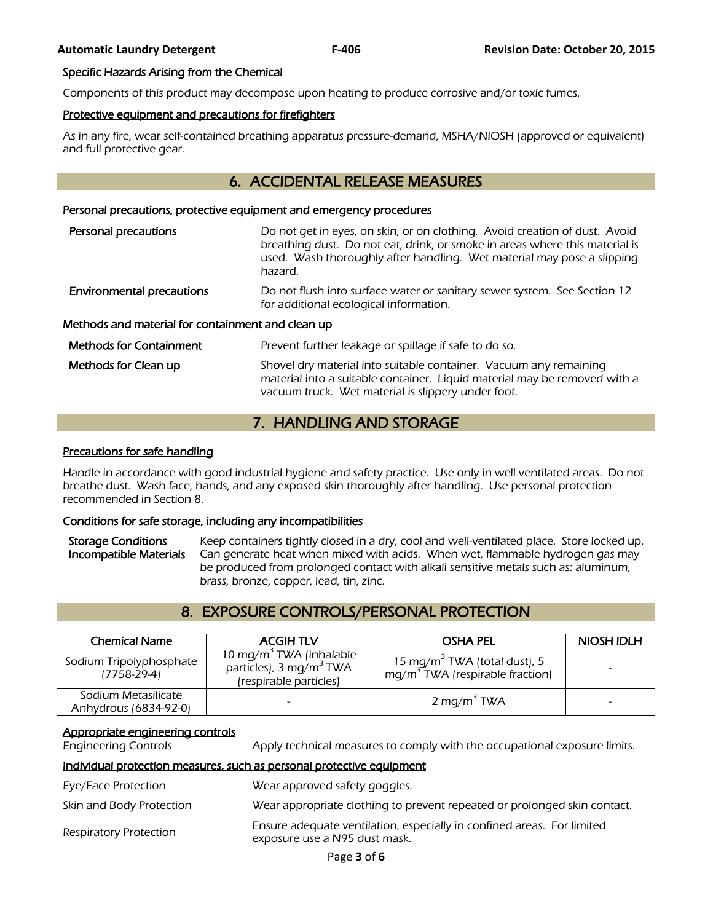#### Specific Hazards Arising from the Chemical

Components of this product may decompose upon heating to produce corrosive and/or toxic fumes.

#### Protective equipment and precautions for firefighters

As in any fire, wear self-contained breathing apparatus pressure-demand, MSHA/NIOSH (approved or equivalent) and full protective gear.

# 6. ACCIDENTAL RELEASE MEASURES

#### Personal precautions, protective equipment and emergency procedures

| Personal precautions                              | Do not get in eyes, on skin, or on clothing. Avoid creation of dust. Avoid<br>breathing dust. Do not eat, drink, or smoke in areas where this material is<br>used. Wash thoroughly after handling. Wet material may pose a slipping<br>hazard. |  |  |  |
|---------------------------------------------------|------------------------------------------------------------------------------------------------------------------------------------------------------------------------------------------------------------------------------------------------|--|--|--|
| <b>Environmental precautions</b>                  | Do not flush into surface water or sanitary sewer system. See Section 12<br>for additional ecological information.                                                                                                                             |  |  |  |
| Methods and material for containment and clean up |                                                                                                                                                                                                                                                |  |  |  |
| <b>Methods for Containment</b>                    | Prevent further leakage or spillage if safe to do so.                                                                                                                                                                                          |  |  |  |
| Methods for Clean up                              | Shovel dry material into suitable container. Vacuum any remaining<br>material into a suitable container. Liquid material may be removed with a                                                                                                 |  |  |  |

# 7. HANDLING AND STORAGE

vacuum truck. Wet material is slippery under foot.

#### Precautions for safe handling

Handle in accordance with good industrial hygiene and safety practice. Use only in well ventilated areas. Do not breathe dust. Wash face, hands, and any exposed skin thoroughly after handling. Use personal protection recommended in Section 8.

#### Conditions for safe storage, including any incompatibilities

Storage Conditions Keep containers tightly closed in a dry, cool and well-ventilated place. Store locked up. Incompatible Materials Can generate heat when mixed with acids. When wet, flammable hydrogen gas may be produced from prolonged contact with alkali sensitive metals such as: aluminum, brass, bronze, copper, lead, tin, zinc.

# 8. EXPOSURE CONTROLS/PERSONAL PROTECTION

| <b>Chemical Name</b>                         | <b>ACGIH TLV</b>                                                                                     | <b>OSHA PEL</b>                                                                       | <b>NIOSH IDLH</b> |
|----------------------------------------------|------------------------------------------------------------------------------------------------------|---------------------------------------------------------------------------------------|-------------------|
| Sodium Tripolyphosphate<br>$(7758-29-4)$     | 10 mg/m <sup>3</sup> TWA (inhalable<br>particles), 3 mg/m <sup>3</sup> TWA<br>(respirable particles) | 15 mg/m $^{\rm 3}$ TWA (total dust), 5<br>mg/m <sup>3</sup> TWA (respirable fraction) |                   |
| Sodium Metasilicate<br>Anhydrous (6834-92-0) |                                                                                                      | 2 mg/m <sup>3</sup> TWA                                                               |                   |

#### Appropriate engineering controls

Engineering Controls Apply technical measures to comply with the occupational exposure limits.

#### Individual protection measures, such as personal protective equipment

Eye/Face Protection Wear approved safety goggles. Skin and Body Protection Wear appropriate clothing to prevent repeated or prolonged skin contact.

Ensure adequate ventilation, especially in confined areas. For limited<br>Respiratory Protection exposure use a N95 dust mask.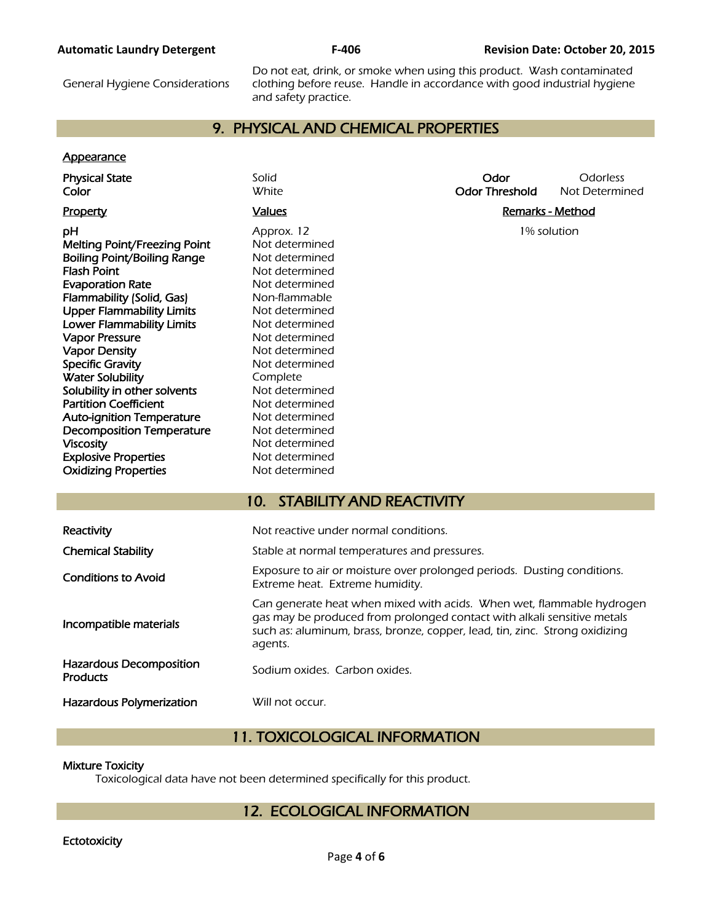#### **Automatic Laundry Detergent F-406 Revision Date: October 20, 2015**

General Hygiene Considerations

Do not eat, drink, or smoke when using this product. Wash contaminated clothing before reuse. Handle in accordance with good industrial hygiene and safety practice.

# 9. PHYSICAL AND CHEMICAL PROPERTIES

#### **Appearance**

| <b>Physical State</b><br>Color             | Solid<br><b>White</b>                                                                                                                                                                                                                      | Odor<br><b>Odor Threshold</b> | Odorless<br>Not Determined |  |
|--------------------------------------------|--------------------------------------------------------------------------------------------------------------------------------------------------------------------------------------------------------------------------------------------|-------------------------------|----------------------------|--|
| Property                                   | <b>Values</b>                                                                                                                                                                                                                              | <b>Remarks - Method</b>       |                            |  |
|                                            |                                                                                                                                                                                                                                            |                               |                            |  |
| рH                                         | Approx. 12                                                                                                                                                                                                                                 | 1% solution                   |                            |  |
| Melting Point/Freezing Point               | Not determined                                                                                                                                                                                                                             |                               |                            |  |
| <b>Boiling Point/Boiling Range</b>         | Not determined                                                                                                                                                                                                                             |                               |                            |  |
| Flash Point                                | Not determined                                                                                                                                                                                                                             |                               |                            |  |
| <b>Evaporation Rate</b>                    | Not determined                                                                                                                                                                                                                             |                               |                            |  |
| Flammability (Solid, Gas)                  | Non-flammable                                                                                                                                                                                                                              |                               |                            |  |
| <b>Upper Flammability Limits</b>           | Not determined                                                                                                                                                                                                                             |                               |                            |  |
| <b>Lower Flammability Limits</b>           | Not determined                                                                                                                                                                                                                             |                               |                            |  |
| <b>Vapor Pressure</b>                      | Not determined                                                                                                                                                                                                                             |                               |                            |  |
| <b>Vapor Density</b>                       | Not determined                                                                                                                                                                                                                             |                               |                            |  |
| <b>Specific Gravity</b>                    | Not determined                                                                                                                                                                                                                             |                               |                            |  |
| <b>Water Solubility</b>                    | Complete                                                                                                                                                                                                                                   |                               |                            |  |
| Solubility in other solvents               | Not determined                                                                                                                                                                                                                             |                               |                            |  |
| <b>Partition Coefficient</b>               | Not determined                                                                                                                                                                                                                             |                               |                            |  |
| <b>Auto-ignition Temperature</b>           | Not determined                                                                                                                                                                                                                             |                               |                            |  |
| <b>Decomposition Temperature</b>           | Not determined                                                                                                                                                                                                                             |                               |                            |  |
| <b>Viscosity</b>                           | Not determined                                                                                                                                                                                                                             |                               |                            |  |
| <b>Explosive Properties</b>                | Not determined                                                                                                                                                                                                                             |                               |                            |  |
| <b>Oxidizing Properties</b>                | Not determined                                                                                                                                                                                                                             |                               |                            |  |
|                                            |                                                                                                                                                                                                                                            |                               |                            |  |
|                                            | <b>STABILITY AND REACTIVITY</b><br>10 <sub>1</sub>                                                                                                                                                                                         |                               |                            |  |
| Reactivity                                 | Not reactive under normal conditions.                                                                                                                                                                                                      |                               |                            |  |
| <b>Chemical Stability</b>                  | Stable at normal temperatures and pressures.                                                                                                                                                                                               |                               |                            |  |
|                                            |                                                                                                                                                                                                                                            |                               |                            |  |
| <b>Conditions to Avoid</b>                 | Exposure to air or moisture over prolonged periods. Dusting conditions.<br>Extreme heat. Extreme humidity.                                                                                                                                 |                               |                            |  |
| Incompatible materials                     | Can generate heat when mixed with acids. When wet, flammable hydrogen<br>gas may be produced from prolonged contact with alkali sensitive metals<br>such as: aluminum, brass, bronze, copper, lead, tin, zinc. Strong oxidizing<br>agents. |                               |                            |  |
| <b>Hazardous Decomposition</b><br>Products | Sodium oxides. Carbon oxides.                                                                                                                                                                                                              |                               |                            |  |
| <b>Hazardous Polymerization</b>            | Will not occur.                                                                                                                                                                                                                            |                               |                            |  |

# 11. TOXICOLOGICAL INFORMATION

#### Mixture Toxicity

I

Toxicological data have not been determined specifically for this product.

# 12. ECOLOGICAL INFORMATION

#### **Ectotoxicity**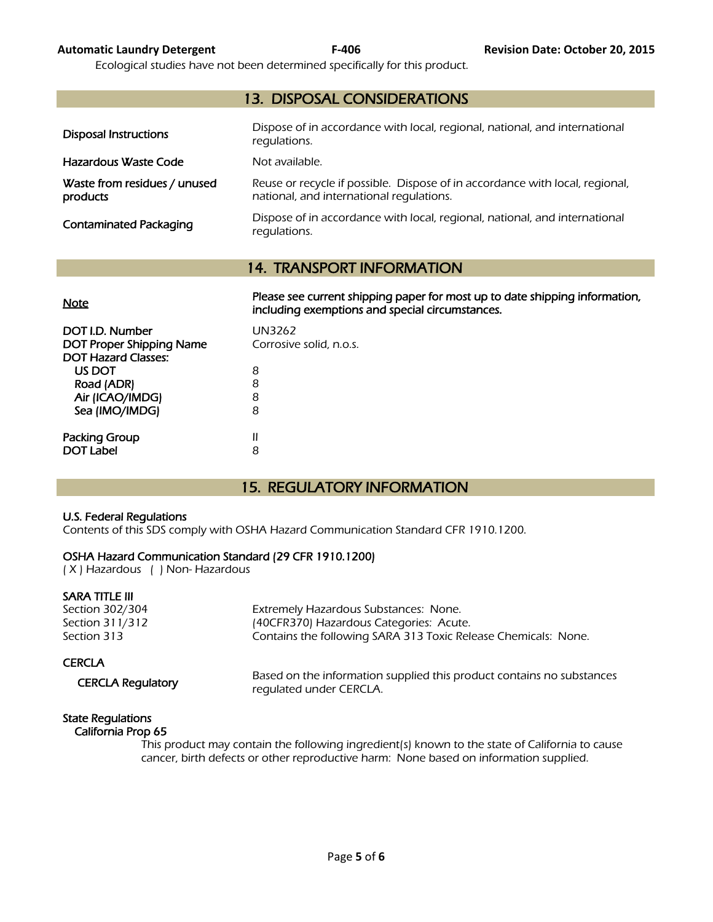Ecological studies have not been determined specifically for this product.

| <b>13. DISPOSAL CONSIDERATIONS</b>       |                                                                                                                          |  |  |  |
|------------------------------------------|--------------------------------------------------------------------------------------------------------------------------|--|--|--|
| Disposal Instructions                    | Dispose of in accordance with local, regional, national, and international<br>regulations.                               |  |  |  |
| Hazardous Waste Code                     | Not available.                                                                                                           |  |  |  |
| Waste from residues / unused<br>products | Reuse or recycle if possible. Dispose of in accordance with local, regional,<br>national, and international requlations. |  |  |  |
| <b>Contaminated Packaging</b>            | Dispose of in accordance with local, regional, national, and international<br>regulations.                               |  |  |  |

# 14. TRANSPORT INFORMATION

| Please see current shipping paper for most up to date shipping information,<br>including exemptions and special circumstances. |
|--------------------------------------------------------------------------------------------------------------------------------|
| UN3262<br>Corrosive solid, n.o.s.                                                                                              |
| 8                                                                                                                              |
| 8<br>8                                                                                                                         |
| 8                                                                                                                              |
| Ш<br>8                                                                                                                         |
|                                                                                                                                |

# 15. REGULATORY INFORMATION

#### U.S. Federal Regulations

Contents of this SDS comply with OSHA Hazard Communication Standard CFR 1910.1200.

#### OSHA Hazard Communication Standard (29 CFR 1910.1200)

( X ) Hazardous ( ) Non- Hazardous

#### SARA TITLE III

Section 302/304 Extremely Hazardous Substances: None. Section 311/312 (40CFR370) Hazardous Categories: Acute. Section 313 **Section 313** Contains the following SARA 313 Toxic Release Chemicals: None.

#### **CERCLA**

CERCLA Regulatory Based on the information supplied this product contains no substances regulated under CERCLA.

# State Regulations

# California Prop 65

 This product may contain the following ingredient(s) known to the state of California to cause cancer, birth defects or other reproductive harm: None based on information supplied.